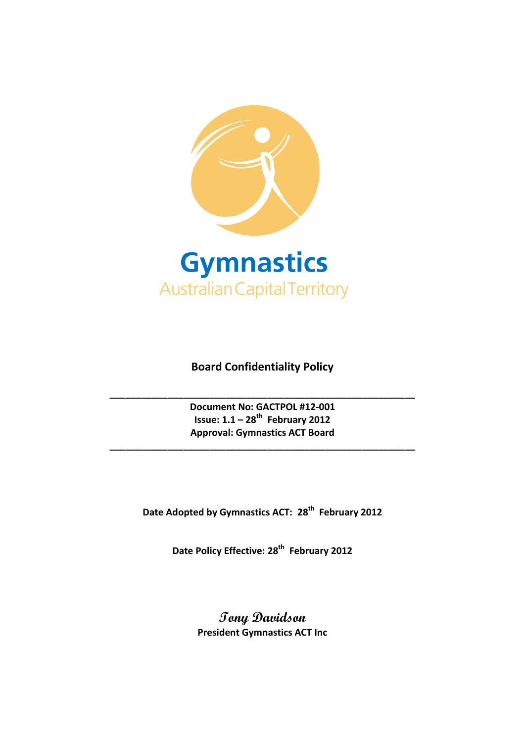

# **Board Confidentiality Policy**

**Document No: GACTPOL #12-001 Issue: 1.1 – 28th February 2012 Approval: Gymnastics ACT Board**

**\_\_\_\_\_\_\_\_\_\_\_\_\_\_\_\_\_\_\_\_\_\_\_\_\_\_\_\_\_\_\_\_\_\_\_\_\_\_\_\_\_\_\_\_\_\_\_\_\_\_\_\_\_\_\_\_\_\_**

**\_\_\_\_\_\_\_\_\_\_\_\_\_\_\_\_\_\_\_\_\_\_\_\_\_\_\_\_\_\_\_\_\_\_\_\_\_\_\_\_\_\_\_\_\_\_\_\_\_\_\_\_\_\_\_\_\_\_**

**Date Adopted by Gymnastics ACT: 28th February 2012**

**Date Policy Effective: 28th February 2012**

**Tony Davidson President Gymnastics ACT Inc**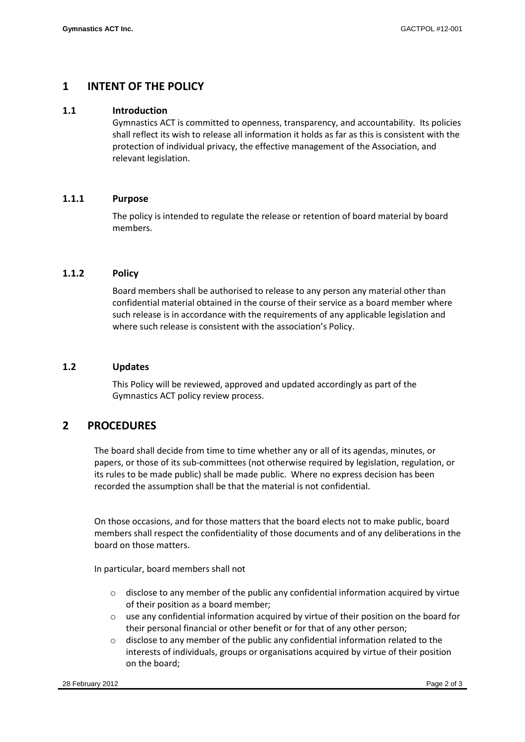### **1 INTENT OF THE POLICY**

#### **1.1 Introduction**

Gymnastics ACT is committed to openness, transparency, and accountability. Its policies shall reflect its wish to release all information it holds as far as this is consistent with the protection of individual privacy, the effective management of the Association, and relevant legislation.

### **1.1.1 Purpose**

The policy is intended to regulate the release or retention of board material by board members.

#### **1.1.2 Policy**

Board members shall be authorised to release to any person any material other than confidential material obtained in the course of their service as a board member where such release is in accordance with the requirements of any applicable legislation and where such release is consistent with the association's Policy.

#### **1.2 Updates**

This Policy will be reviewed, approved and updated accordingly as part of the Gymnastics ACT policy review process.

### **2 PROCEDURES**

The board shall decide from time to time whether any or all of its agendas, minutes, or papers, or those of its sub-committees (not otherwise required by legislation, regulation, or its rules to be made public) shall be made public. Where no express decision has been recorded the assumption shall be that the material is not confidential.

On those occasions, and for those matters that the board elects not to make public, board members shall respect the confidentiality of those documents and of any deliberations in the board on those matters.

In particular, board members shall not

- $\circ$  disclose to any member of the public any confidential information acquired by virtue of their position as a board member;
- o use any confidential information acquired by virtue of their position on the board for their personal financial or other benefit or for that of any other person;
- $\circ$  disclose to any member of the public any confidential information related to the interests of individuals, groups or organisations acquired by virtue of their position on the board;